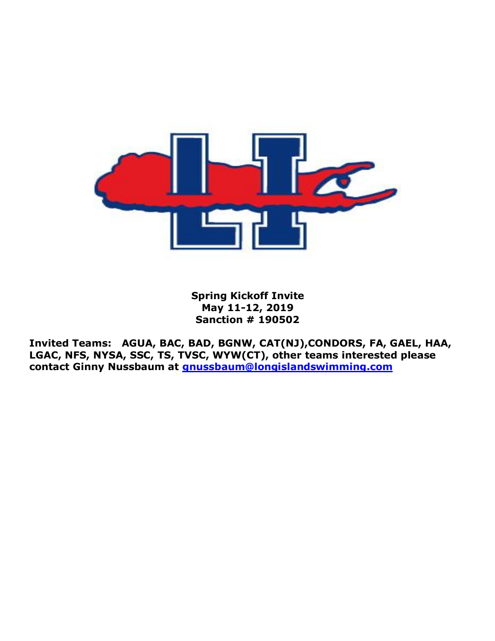

**Spring Kickoff Invite May 11-12, 2019 Sanction # 190502**

**Invited Teams: AGUA, BAC, BAD, BGNW, CAT(NJ),CONDORS, FA, GAEL, HAA, LGAC, NFS, NYSA, SSC, TS, TVSC, WYW(CT), other teams interested please contact Ginny Nussbaum at [gnussbaum@longislandswimming.com](mailto:gnussbaum@longislandswimming.com)**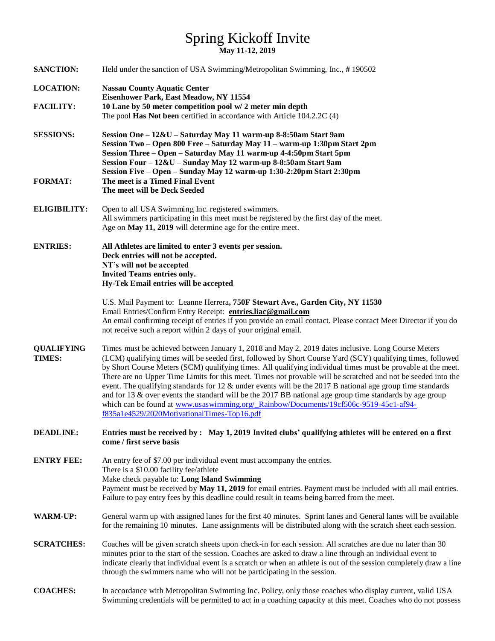# Spring Kickoff Invite **May 11-12, 2019**

| <b>SANCTION:</b>            | Held under the sanction of USA Swimming/Metropolitan Swimming, Inc., #190502                                                                                                                                                                                                                                                                                                                                                                                                                                                                                                                                                                                                                                                                                                                                               |  |  |  |  |
|-----------------------------|----------------------------------------------------------------------------------------------------------------------------------------------------------------------------------------------------------------------------------------------------------------------------------------------------------------------------------------------------------------------------------------------------------------------------------------------------------------------------------------------------------------------------------------------------------------------------------------------------------------------------------------------------------------------------------------------------------------------------------------------------------------------------------------------------------------------------|--|--|--|--|
| <b>LOCATION:</b>            | <b>Nassau County Aquatic Center</b>                                                                                                                                                                                                                                                                                                                                                                                                                                                                                                                                                                                                                                                                                                                                                                                        |  |  |  |  |
|                             | Eisenhower Park, East Meadow, NY 11554                                                                                                                                                                                                                                                                                                                                                                                                                                                                                                                                                                                                                                                                                                                                                                                     |  |  |  |  |
| <b>FACILITY:</b>            | 10 Lane by 50 meter competition pool w/ 2 meter min depth<br>The pool Has Not been certified in accordance with Article 104.2.2C (4)                                                                                                                                                                                                                                                                                                                                                                                                                                                                                                                                                                                                                                                                                       |  |  |  |  |
| <b>SESSIONS:</b>            | Session One - 12&U - Saturday May 11 warm-up 8-8:50am Start 9am<br>Session Two - Open 800 Free - Saturday May 11 - warm-up 1:30pm Start 2pm<br>Session Three - Open - Saturday May 11 warm-up 4-4:50pm Start 5pm<br>Session Four - 12&U - Sunday May 12 warm-up 8-8:50am Start 9am<br>Session Five - Open - Sunday May 12 warm-up 1:30-2:20pm Start 2:30pm                                                                                                                                                                                                                                                                                                                                                                                                                                                                 |  |  |  |  |
| <b>FORMAT:</b>              | The meet is a Timed Final Event<br>The meet will be Deck Seeded                                                                                                                                                                                                                                                                                                                                                                                                                                                                                                                                                                                                                                                                                                                                                            |  |  |  |  |
| <b>ELIGIBILITY:</b>         | Open to all USA Swimming Inc. registered swimmers.<br>All swimmers participating in this meet must be registered by the first day of the meet.<br>Age on May 11, 2019 will determine age for the entire meet.                                                                                                                                                                                                                                                                                                                                                                                                                                                                                                                                                                                                              |  |  |  |  |
| <b>ENTRIES:</b>             | All Athletes are limited to enter 3 events per session.<br>Deck entries will not be accepted.<br>NT's will not be accepted<br>Invited Teams entries only.<br>Hy-Tek Email entries will be accepted                                                                                                                                                                                                                                                                                                                                                                                                                                                                                                                                                                                                                         |  |  |  |  |
|                             | U.S. Mail Payment to: Leanne Herrera, 750F Stewart Ave., Garden City, NY 11530<br>Email Entries/Confirm Entry Receipt: entries.liac@gmail.com<br>An email confirming receipt of entries if you provide an email contact. Please contact Meet Director if you do<br>not receive such a report within 2 days of your original email.                                                                                                                                                                                                                                                                                                                                                                                                                                                                                         |  |  |  |  |
| <b>QUALIFYING</b><br>TIMES: | Times must be achieved between January 1, 2018 and May 2, 2019 dates inclusive. Long Course Meters<br>(LCM) qualifying times will be seeded first, followed by Short Course Yard (SCY) qualifying times, followed<br>by Short Course Meters (SCM) qualifying times. All qualifying individual times must be provable at the meet.<br>There are no Upper Time Limits for this meet. Times not provable will be scratched and not be seeded into the<br>event. The qualifying standards for 12 $\&$ under events will be the 2017 B national age group time standards<br>and for 13 $\&$ over events the standard will be the 2017 BB national age group time standards by age group<br>which can be found at www.usaswimming.org/_Rainbow/Documents/19cf506c-9519-45c1-af94-<br>f835a1e4529/2020MotivationalTimes-Top16.pdf |  |  |  |  |
| <b>DEADLINE:</b>            | Entries must be received by: May 1, 2019 Invited clubs' qualifying athletes will be entered on a first<br>come / first serve basis                                                                                                                                                                                                                                                                                                                                                                                                                                                                                                                                                                                                                                                                                         |  |  |  |  |
| <b>ENTRY FEE:</b>           | An entry fee of \$7.00 per individual event must accompany the entries.<br>There is a \$10.00 facility fee/athlete<br>Make check payable to: Long Island Swimming<br>Payment must be received by May 11, 2019 for email entries. Payment must be included with all mail entries.<br>Failure to pay entry fees by this deadline could result in teams being barred from the meet.                                                                                                                                                                                                                                                                                                                                                                                                                                           |  |  |  |  |
| <b>WARM-UP:</b>             | General warm up with assigned lanes for the first 40 minutes. Sprint lanes and General lanes will be available<br>for the remaining 10 minutes. Lane assignments will be distributed along with the scratch sheet each session.                                                                                                                                                                                                                                                                                                                                                                                                                                                                                                                                                                                            |  |  |  |  |
| <b>SCRATCHES:</b>           | Coaches will be given scratch sheets upon check-in for each session. All scratches are due no later than 30<br>minutes prior to the start of the session. Coaches are asked to draw a line through an individual event to<br>indicate clearly that individual event is a scratch or when an athlete is out of the session completely draw a line<br>through the swimmers name who will not be participating in the session.                                                                                                                                                                                                                                                                                                                                                                                                |  |  |  |  |
| <b>COACHES:</b>             | In accordance with Metropolitan Swimming Inc. Policy, only those coaches who display current, valid USA<br>Swimming credentials will be permitted to act in a coaching capacity at this meet. Coaches who do not possess                                                                                                                                                                                                                                                                                                                                                                                                                                                                                                                                                                                                   |  |  |  |  |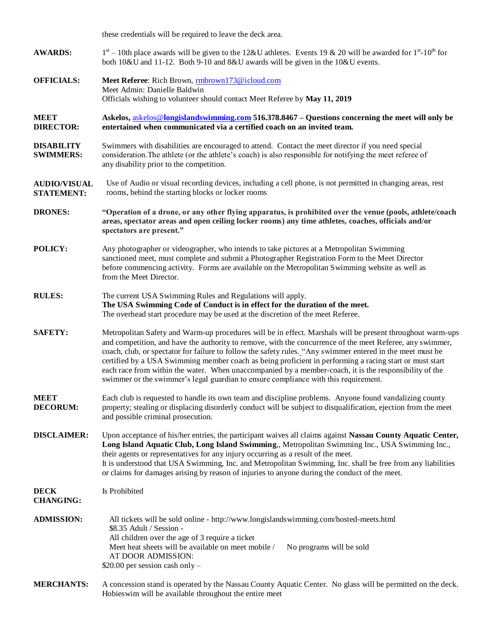|                                          | these credentials will be required to leave the deck area.                                                                                                                                                                                                                                                                                                                                                                                                                                                                                                                                                                                        |  |  |  |  |  |
|------------------------------------------|---------------------------------------------------------------------------------------------------------------------------------------------------------------------------------------------------------------------------------------------------------------------------------------------------------------------------------------------------------------------------------------------------------------------------------------------------------------------------------------------------------------------------------------------------------------------------------------------------------------------------------------------------|--|--|--|--|--|
| <b>AWARDS:</b>                           | $1st - 10th$ place awards will be given to the 12&U athletes. Events 19 & 20 will be awarded for $1st - 10th$ for<br>both 10&U and 11-12. Both 9-10 and 8&U awards will be given in the 10&U events.                                                                                                                                                                                                                                                                                                                                                                                                                                              |  |  |  |  |  |
| <b>OFFICIALS:</b>                        | Meet Referee: Rich Brown, mbrown173@icloud.com<br>Meet Admin: Danielle Baldwin<br>Officials wishing to volunteer should contact Meet Referee by May 11, 2019                                                                                                                                                                                                                                                                                                                                                                                                                                                                                      |  |  |  |  |  |
| <b>MEET</b><br><b>DIRECTOR:</b>          | Askelos, askelos@longislandswimming.com 516.378.8467 – Questions concerning the meet will only be<br>entertained when communicated via a certified coach on an invited team.                                                                                                                                                                                                                                                                                                                                                                                                                                                                      |  |  |  |  |  |
| <b>DISABILITY</b><br><b>SWIMMERS:</b>    | Swimmers with disabilities are encouraged to attend. Contact the meet director if you need special<br>consideration. The athlete (or the athlete's coach) is also responsible for notifying the meet referee of<br>any disability prior to the competition.                                                                                                                                                                                                                                                                                                                                                                                       |  |  |  |  |  |
| <b>AUDIO/VISUAL</b><br><b>STATEMENT:</b> | Use of Audio or visual recording devices, including a cell phone, is not permitted in changing areas, rest<br>rooms, behind the starting blocks or locker rooms                                                                                                                                                                                                                                                                                                                                                                                                                                                                                   |  |  |  |  |  |
| <b>DRONES:</b>                           | "Operation of a drone, or any other flying apparatus, is prohibited over the venue (pools, athlete/coach<br>areas, spectator areas and open ceiling locker rooms) any time athletes, coaches, officials and/or<br>spectators are present."                                                                                                                                                                                                                                                                                                                                                                                                        |  |  |  |  |  |
| POLICY:                                  | Any photographer or videographer, who intends to take pictures at a Metropolitan Swimming<br>sanctioned meet, must complete and submit a Photographer Registration Form to the Meet Director<br>before commencing activity. Forms are available on the Metropolitan Swimming website as well as<br>from the Meet Director.                                                                                                                                                                                                                                                                                                                        |  |  |  |  |  |
| <b>RULES:</b>                            | The current USA Swimming Rules and Regulations will apply.<br>The USA Swimming Code of Conduct is in effect for the duration of the meet.<br>The overhead start procedure may be used at the discretion of the meet Referee.                                                                                                                                                                                                                                                                                                                                                                                                                      |  |  |  |  |  |
| <b>SAFETY:</b>                           | Metropolitan Safety and Warm-up procedures will be in effect. Marshals will be present throughout warm-ups<br>and competition, and have the authority to remove, with the concurrence of the meet Referee, any swimmer,<br>coach, club, or spectator for failure to follow the safety rules. "Any swimmer entered in the meet must be<br>certified by a USA Swimming member coach as being proficient in performing a racing start or must start<br>each race from within the water. When unaccompanied by a member-coach, it is the responsibility of the<br>swimmer or the swimmer's legal guardian to ensure compliance with this requirement. |  |  |  |  |  |
| <b>MEET</b><br><b>DECORUM:</b>           | Each club is requested to handle its own team and discipline problems. Anyone found vandalizing county<br>property; stealing or displacing disorderly conduct will be subject to disqualification, ejection from the meet<br>and possible criminal prosecution.                                                                                                                                                                                                                                                                                                                                                                                   |  |  |  |  |  |
| <b>DISCLAIMER:</b>                       | Upon acceptance of his/her entries, the participant waives all claims against Nassau County Aquatic Center,<br>Long Island Aquatic Club, Long Island Swimming,, Metropolitan Swimming Inc., USA Swimming Inc.,<br>their agents or representatives for any injury occurring as a result of the meet.<br>It is understood that USA Swimming, Inc. and Metropolitan Swimming, Inc. shall be free from any liabilities<br>or claims for damages arising by reason of injuries to anyone during the conduct of the meet.                                                                                                                               |  |  |  |  |  |
| <b>DECK</b><br><b>CHANGING:</b>          | Is Prohibited                                                                                                                                                                                                                                                                                                                                                                                                                                                                                                                                                                                                                                     |  |  |  |  |  |
| <b>ADMISSION:</b>                        | All tickets will be sold online - http://www.longislandswimming.com/hosted-meets.html<br>\$8.35 Adult / Session -<br>All children over the age of 3 require a ticket<br>Meet heat sheets will be available on meet mobile /<br>No programs will be sold<br>AT DOOR ADMISSION:<br>$$20.00$ per session cash only -                                                                                                                                                                                                                                                                                                                                 |  |  |  |  |  |
| <b>MERCHANTS:</b>                        | A concession stand is operated by the Nassau County Aquatic Center. No glass will be permitted on the deck.<br>Hobies wim will be available throughout the entire meet                                                                                                                                                                                                                                                                                                                                                                                                                                                                            |  |  |  |  |  |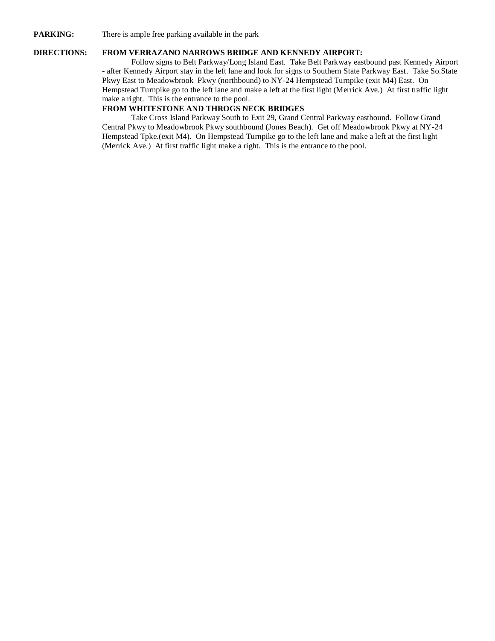#### **PARKING:** There is ample free parking available in the park

#### **DIRECTIONS: FROM VERRAZANO NARROWS BRIDGE AND KENNEDY AIRPORT:**

Follow signs to Belt Parkway/Long Island East. Take Belt Parkway eastbound past Kennedy Airport - after Kennedy Airport stay in the left lane and look for signs to Southern State Parkway East. Take So.State Pkwy East to Meadowbrook Pkwy (northbound) to NY-24 Hempstead Turnpike (exit M4) East. On Hempstead Turnpike go to the left lane and make a left at the first light (Merrick Ave.) At first traffic light make a right. This is the entrance to the pool.

## **FROM WHITESTONE AND THROGS NECK BRIDGES**

Take Cross Island Parkway South to Exit 29, Grand Central Parkway eastbound. Follow Grand Central Pkwy to Meadowbrook Pkwy southbound (Jones Beach). Get off Meadowbrook Pkwy at NY-24 Hempstead Tpke.(exit M4). On Hempstead Turnpike go to the left lane and make a left at the first light (Merrick Ave.) At first traffic light make a right. This is the entrance to the pool.